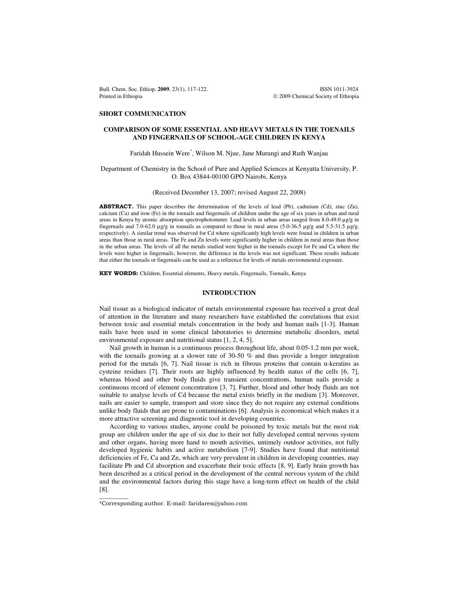Bull. Chem. Soc. Ethiop. **2009**, 23(1), 117-122. **ISSN 1011-3924** Printed in Ethiopia **2009** Chemical Society of Ethiopia

## **SHORT COMMUNICATION**

## **COMPARISON OF SOME ESSENTIAL AND HEAVY METALS IN THE TOENAILS AND FINGERNAILS OF SCHOOL-AGE CHILDREN IN KENYA**

# Faridah Hussein Were\* , Wilson M. Njue, Jane Murungi and Ruth Wanjau

## Department of Chemistry in the School of Pure and Applied Sciences at Kenyatta University, P. O. Box 43844-00100 GPO Nairobi, Kenya

## (Received December 13, 2007; revised August 22, 2008)

ABSTRACT. This paper describes the determination of the levels of lead (Pb), cadmium (Cd), zinc (Zn), calcium (Ca) and iron (Fe) in the toenails and fingernails of children under the age of six years in urban and rural areas in Kenya by atomic absorption spectrophotometer. Lead levels in urban areas ranged from 8.0-49.0 µg/g in fingernails and 7.0-62.0  $\mu$ g/g in toenails as compared to those in rural areas (5.0-36.5  $\mu$ g/g and 5.5-31.5  $\mu$ g/g, respectively). A similar trend was observed for Cd where significantly high levels were found in children in urban areas than those in rural areas. The Fe and Zn levels were significantly higher in children in rural areas than those in the urban areas. The levels of all the metals studied were higher in the toenails except for Fe and Ca where the levels were higher in fingernails; however, the difference in the levels was not significant. These results indicate that either the toenails or fingernails can be used as a reference for levels of metals environmental exposure.

KEY WORDS: Children, Essential elements, Heavy metals, Fingernails, Toenails, Kenya

# **INTRODUCTION**

Nail tissue as a biological indicator of metals environmental exposure has received a great deal of attention in the literature and many researchers have established the correlations that exist between toxic and essential metals concentration in the body and human nails [1-3]. Human nails have been used in some clinical laboratories to determine metabolic disorders, metal environmental exposure and nutritional status [1, 2, 4, 5].

Nail growth in human is a continuous process throughout life, about 0.05-1.2 mm per week, with the toenails growing at a slower rate of 30-50 % and thus provide a longer integration period for the metals [6, 7]. Nail tissue is rich in fibrous proteins that contain  $\alpha$ -keratins as cysteine residues [7]. Their roots are highly influenced by health status of the cells [6, 7], whereas blood and other body fluids give transient concentrations, human nails provide a continuous record of element concentration [3, 7]. Further, blood and other body fluids are not suitable to analyse levels of Cd because the metal exists briefly in the medium [3]. Moreover, nails are easier to sample, transport and store since they do not require any external conditions unlike body fluids that are prone to contaminations [6]. Analysis is economical which makes it a more attractive screening and diagnostic tool in developing countries.

According to various studies, anyone could be poisoned by toxic metals but the most risk group are children under the age of six due to their not fully developed central nervous system and other organs, having more hand to mouth activities, untimely outdoor activities, not fully developed hygienic habits and active metabolism [7-9]. Studies have found that nutritional deficiencies of Fe, Ca and Zn, which are very prevalent in children in developing countries, may facilitate Pb and Cd absorption and exacerbate their toxic effects [8, 9]. Early brain growth has been described as a critical period in the development of the central nervous system of the child and the environmental factors during this stage have a long-term effect on health of the child [8].

 $\overline{\phantom{a}}$ 

<sup>\*</sup>Corresponding author. E-mail: faridares@yahoo.com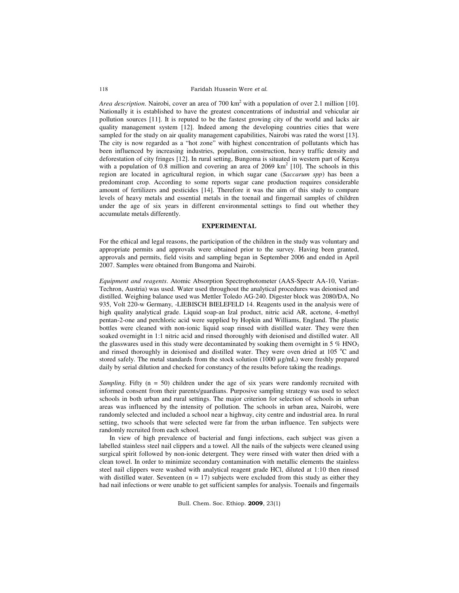Faridah Hussein Were et al.

Area description. Nairobi, cover an area of 700 km<sup>2</sup> with a population of over 2.1 million [10]. Nationally it is established to have the greatest concentrations of industrial and vehicular air pollution sources [11]. It is reputed to be the fastest growing city of the world and lacks air quality management system [12]. Indeed among the developing countries cities that were sampled for the study on air quality management capabilities, Nairobi was rated the worst [13]. The city is now regarded as a "hot zone" with highest concentration of pollutants which has been influenced by increasing industries, population, construction, heavy traffic density and deforestation of city fringes [12]. In rural setting, Bungoma is situated in western part of Kenya with a population of 0.8 million and covering an area of 2069  $km^2$  [10]. The schools in this region are located in agricultural region, in which sugar cane (*Saccarum spp*) has been a predominant crop. According to some reports sugar cane production requires considerable amount of fertilizers and pesticides [14]. Therefore it was the aim of this study to compare levels of heavy metals and essential metals in the toenail and fingernail samples of children under the age of six years in different environmental settings to find out whether they accumulate metals differently.

## **EXPERIMENTAL**

For the ethical and legal reasons, the participation of the children in the study was voluntary and appropriate permits and approvals were obtained prior to the survey. Having been granted, approvals and permits, field visits and sampling began in September 2006 and ended in April 2007. Samples were obtained from Bungoma and Nairobi.

*Equipment and reagents*. Atomic Absorption Spectrophotometer (AAS-Spectr AA-10, Varian-Techron, Austria) was used. Water used throughout the analytical procedures was deionised and distilled. Weighing balance used was Mettler Toledo AG-240. Digester block was 2080/DA, No 935, Volt 220-w Germany, -LIEBISCH BIELEFELD 14. Reagents used in the analysis were of high quality analytical grade. Liquid soap-an Izal product, nitric acid AR, acetone, 4-methyl pentan-2-one and perchloric acid were supplied by Hopkin and Williams, England. The plastic bottles were cleaned with non-ionic liquid soap rinsed with distilled water. They were then soaked overnight in 1:1 nitric acid and rinsed thoroughly with deionised and distilled water. All the glasswares used in this study were decontaminated by soaking them overnight in 5 %  $HNO<sub>3</sub>$ and rinsed thoroughly in deionised and distilled water. They were oven dried at  $105\degree C$  and stored safely. The metal standards from the stock solution (1000  $\mu$ g/mL) were freshly prepared daily by serial dilution and checked for constancy of the results before taking the readings.

*Sampling*. Fifty (n = 50) children under the age of six years were randomly recruited with informed consent from their parents/guardians. Purposive sampling strategy was used to select schools in both urban and rural settings. The major criterion for selection of schools in urban areas was influenced by the intensity of pollution. The schools in urban area, Nairobi, were randomly selected and included a school near a highway, city centre and industrial area. In rural setting, two schools that were selected were far from the urban influence. Ten subjects were randomly recruited from each school.

In view of high prevalence of bacterial and fungi infections, each subject was given a labelled stainless steel nail clippers and a towel. All the nails of the subjects were cleaned using surgical spirit followed by non-ionic detergent. They were rinsed with water then dried with a clean towel. In order to minimize secondary contamination with metallic elements the stainless steel nail clippers were washed with analytical reagent grade HCl, diluted at 1:10 then rinsed with distilled water. Seventeen  $(n = 17)$  subjects were excluded from this study as either they had nail infections or were unable to get sufficient samples for analysis. Toenails and fingernails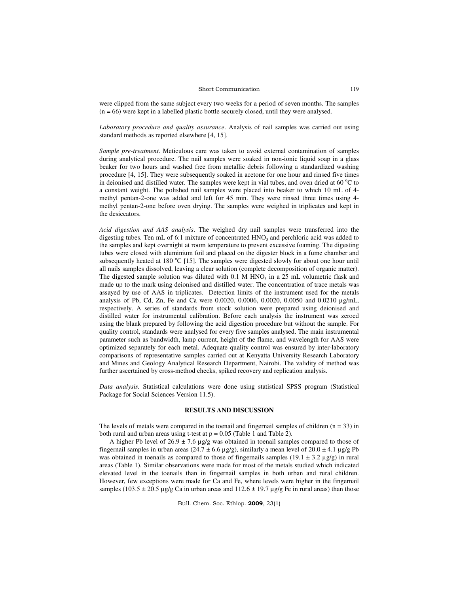#### Short Communication

were clipped from the same subject every two weeks for a period of seven months. The samples (n = 66) were kept in a labelled plastic bottle securely closed, until they were analysed.

*Laboratory procedure and quality assurance*. Analysis of nail samples was carried out using standard methods as reported elsewhere [4, 15].

*Sample pre-treatment*. Meticulous care was taken to avoid external contamination of samples during analytical procedure. The nail samples were soaked in non-ionic liquid soap in a glass beaker for two hours and washed free from metallic debris following a standardized washing procedure [4, 15]. They were subsequently soaked in acetone for one hour and rinsed five times in deionised and distilled water. The samples were kept in vial tubes, and oven dried at 60  $^{\circ}$ C to a constant weight. The polished nail samples were placed into beaker to which 10 mL of 4 methyl pentan-2-one was added and left for 45 min. They were rinsed three times using 4 methyl pentan-2-one before oven drying. The samples were weighed in triplicates and kept in the desiccators.

*Acid digestion and AAS analysis*. The weighed dry nail samples were transferred into the digesting tubes. Ten mL of 6:1 mixture of concentrated  $HNO<sub>3</sub>$  and perchloric acid was added to the samples and kept overnight at room temperature to prevent excessive foaming. The digesting tubes were closed with aluminium foil and placed on the digester block in a fume chamber and subsequently heated at 180  $^{\circ}$ C [15]. The samples were digested slowly for about one hour until all nails samples dissolved, leaving a clear solution (complete decomposition of organic matter). The digested sample solution was diluted with  $0.1 \text{ M HNO}_3$  in a 25 mL volumetric flask and made up to the mark using deionised and distilled water. The concentration of trace metals was assayed by use of AAS in triplicates. Detection limits of the instrument used for the metals analysis of Pb, Cd, Zn, Fe and Ca were  $0.0020$ ,  $0.0006$ ,  $0.0020$ ,  $0.0050$  and  $0.0210 \mu\text{g/mL}$ , respectively. A series of standards from stock solution were prepared using deionised and distilled water for instrumental calibration. Before each analysis the instrument was zeroed using the blank prepared by following the acid digestion procedure but without the sample. For quality control, standards were analysed for every five samples analysed. The main instrumental parameter such as bandwidth, lamp current, height of the flame, and wavelength for AAS were optimized separately for each metal. Adequate quality control was ensured by inter-laboratory comparisons of representative samples carried out at Kenyatta University Research Laboratory and Mines and Geology Analytical Research Department, Nairobi. The validity of method was further ascertained by cross-method checks, spiked recovery and replication analysis.

*Data analysis.* Statistical calculations were done using statistical SPSS program (Statistical Package for Social Sciences Version 11.5).

### **RESULTS AND DISCUSSION**

The levels of metals were compared in the toenail and fingernail samples of children  $(n = 33)$  in both rural and urban areas using t-test at  $p = 0.05$  (Table 1 and Table 2).

A higher Pb level of  $26.9 \pm 7.6$  µg/g was obtained in toenail samples compared to those of fingernail samples in urban areas  $(24.7 \pm 6.6 \,\mu g/g)$ , similarly a mean level of  $20.0 \pm 4.1 \,\mu g/g$  Pb was obtained in toenails as compared to those of fingernails samples  $(19.1 \pm 3.2 \,\mu g/g)$  in rural areas (Table 1). Similar observations were made for most of the metals studied which indicated elevated level in the toenails than in fingernail samples in both urban and rural children. However, few exceptions were made for Ca and Fe, where levels were higher in the fingernail samples (103.5  $\pm$  20.5 µg/g Ca in urban areas and 112.6  $\pm$  19.7 µg/g Fe in rural areas) than those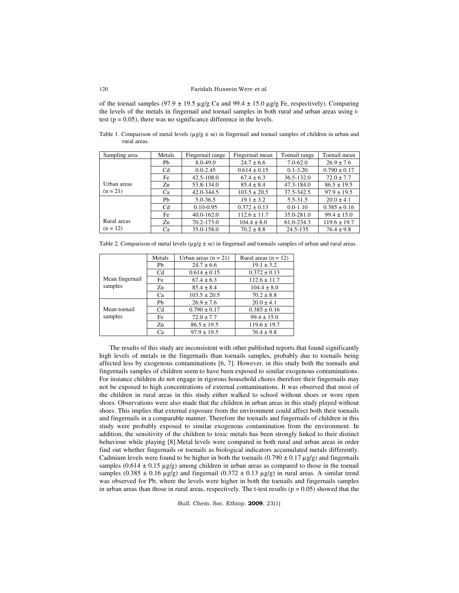of the toenail samples (97.9  $\pm$  19.5 µg/g Ca and 99.4  $\pm$  15.0 µg/g Fe, respectively). Comparing the levels of the metals in fingernail and toenail samples in both rural and urban areas using ttest ( $p = 0.05$ ), there was no significance difference in the levels.

Table 1. Comparison of metal levels ( $\mu g/g \pm s$ e) in fingernail and toenail samples of children in urban and rural areas.

| Sampling area | Metals         | Fingernail range | Fingernail mean  | Toenail range | Toenail mean     |
|---------------|----------------|------------------|------------------|---------------|------------------|
|               | Pb             | 8.0-49.0         | $24.7 \pm 6.6$   | $7.0 - 62.0$  | $26.9 \pm 7.6$   |
|               | C <sub>d</sub> | $0.0 - 2.45$     | $0.614 \pm 0.15$ | $0.1 - 3.20$  | $0.790 \pm 0.17$ |
|               | Fe             | 42.5-108.0       | $67.4 \pm 6.3$   | 36.5-132.0    | $72.0 \pm 7.7$   |
| Urban areas   | Zn             | 53.8-134.0       | $85.4 \pm 8.4$   | 47.3-184.0    | $86.5 \pm 19.5$  |
| $(n = 21)$    | Ca             | 42.0-344.5       | $103.5 \pm 20.5$ | 37.5-342.5    | $97.9 \pm 19.5$  |
|               | Ph             | $5.0 - 36.5$     | $19.1 \pm 3.2$   | 5.5-31.5      | $20.0 \pm 4.1$   |
|               | Cd             | $0.10 - 0.95$    | $0.372 \pm 0.13$ | $0.0 - 1.10$  | $0.385 \pm 0.16$ |
|               | Fe             | $40.0 - 162.0$   | $112.6 \pm 11.7$ | 35.0-281.0    | $99.4 \pm 15.0$  |
| Rural areas   | Zn             | 70.2-173.0       | $104.4 \pm 8.0$  | 61.0-234.3    | $119.6 \pm 19.7$ |
| $(n = 12)$    | Ca             | 35.0-158.0       | $70.2 \pm 8.8$   | 24.5-135      | $76.4 \pm 9.8$   |

Table 2. Comparison of metal levels ( $\mu$ g/g  $\pm$  se) in fingernail and toenails samples of urban and rural areas.

|                            | Metals | Urban areas $(n = 21)$ | Rural areas $(n = 12)$ |
|----------------------------|--------|------------------------|------------------------|
|                            | Ph     | $24.7 \pm 6.6$         | $19.1 \pm 3.2$         |
|                            | Cd     | $0.614 \pm 0.15$       | $0.372 \pm 0.13$       |
| Mean fingernail<br>samples | Fe     | $67.4 \pm 6.3$         | $112.6 \pm 11.7$       |
|                            | Zn     | $85.4 \pm 8.4$         | $104.4 \pm 8.0$        |
|                            | Ca     | $103.5 \pm 20.5$       | $70.2 \pm 8.8$         |
|                            | Ph     | $26.9 \pm 7.6$         | $20.0 \pm 4.1$         |
| Mean toenail               | Cd     | $0.790 \pm 0.17$       | $0.385 \pm 0.16$       |
| samples                    | Fe     | $72.0 \pm 7.7$         | $99.4 \pm 15.0$        |
|                            | Zn     | $86.5 \pm 19.5$        | $119.6 \pm 19.7$       |
|                            | Ca     | $97.9 \pm 19.5$        | $76.4 \pm 9.8$         |

The results of this study are inconsistent with other published reports that found significantly high levels of metals in the fingernails than toenails samples, probably due to toenails being affected less by exogenous contaminations [6, 7]. However, in this study both the toenails and fingernails samples of children seem to have been exposed to similar exogenous contaminations. For instance children do not engage in rigorous household chores therefore their fingernails may not be exposed to high concentrations of external contaminations. It was observed that most of the children in rural areas in this study either walked to school without shoes or wore open shoes. Observations were also made that the children in urban areas in this study played without shoes. This implies that external exposure from the environment could affect both their toenails and fingernails in a comparable manner. Therefore the toenails and fingernails of children in this study were probably exposed to similar exogenous contamination from the environment. In addition, the sensitivity of the children to toxic metals has been strongly linked to their distinct behaviour while playing [8].Metal levels were compared in both rural and urban areas in order find out whether fingernails or toenails as biological indicators accumulated metals differently. Cadmium levels were found to be higher in both the toenails  $(0.790 \pm 0.17 \,\mu\text{g/g})$  and fingernails samples  $(0.614 \pm 0.15 \,\mu\text{g/g})$  among children in urban areas as compared to those in the toenail samples (0.385  $\pm$  0.16 µg/g) and fingernail (0.372  $\pm$  0.13 µg/g) in rural areas. A similar trend was observed for Pb, where the levels were higher in both the toenails and fingernails samples in urban areas than those in rural areas, respectively. The t-test results ( $p = 0.05$ ) showed that the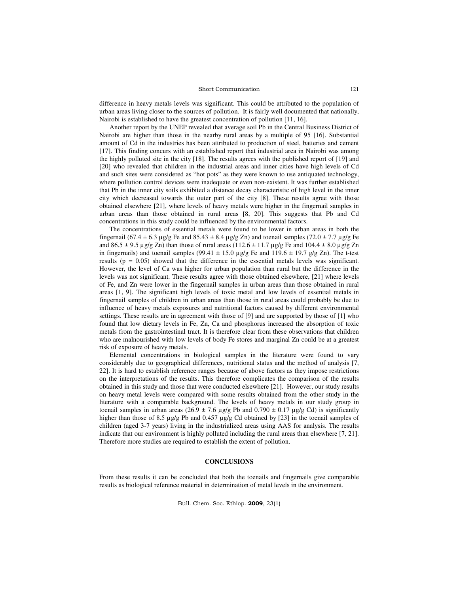## Short Communication

difference in heavy metals levels was significant. This could be attributed to the population of urban areas living closer to the sources of pollution. It is fairly well documented that nationally, Nairobi is established to have the greatest concentration of pollution [11, 16].

Another report by the UNEP revealed that average soil Pb in the Central Business District of Nairobi are higher than those in the nearby rural areas by a multiple of 95 [16]. Substantial amount of Cd in the industries has been attributed to production of steel, batteries and cement [17]. This finding concurs with an established report that industrial area in Nairobi was among the highly polluted site in the city [18]. The results agrees with the published report of [19] and [20] who revealed that children in the industrial areas and inner cities have high levels of Cd and such sites were considered as "hot pots" as they were known to use antiquated technology, where pollution control devices were inadequate or even non-existent. It was further established that Pb in the inner city soils exhibited a distance decay characteristic of high level in the inner city which decreased towards the outer part of the city [8]. These results agree with those obtained elsewhere [21], where levels of heavy metals were higher in the fingernail samples in urban areas than those obtained in rural areas [8, 20]. This suggests that Pb and Cd concentrations in this study could be influenced by the environmental factors.

The concentrations of essential metals were found to be lower in urban areas in both the fingernail (67.4  $\pm$  6.3 µg/g Fe and 85.43  $\pm$  8.4 µg/g Zn) and toenail samples (72.0  $\pm$  7.7 µg/g Fe and  $86.5 \pm 9.5 \,\mu g/g$  Zn) than those of rural areas (112.6  $\pm$  11.7  $\mu g/g$  Fe and 104.4  $\pm$  8.0  $\mu g/g$  Zn in fingernails) and toenail samples (99.41  $\pm$  15.0 µg/g Fe and 119.6  $\pm$  19.7 g/g Zn). The t-test results ( $p = 0.05$ ) showed that the difference in the essential metals levels was significant. However, the level of Ca was higher for urban population than rural but the difference in the levels was not significant. These results agree with those obtained elsewhere, [21] where levels of Fe, and Zn were lower in the fingernail samples in urban areas than those obtained in rural areas [1, 9]. The significant high levels of toxic metal and low levels of essential metals in fingernail samples of children in urban areas than those in rural areas could probably be due to influence of heavy metals exposures and nutritional factors caused by different environmental settings. These results are in agreement with those of [9] and are supported by those of [1] who found that low dietary levels in Fe, Zn, Ca and phosphorus increased the absorption of toxic metals from the gastrointestinal tract. It is therefore clear from these observations that children who are malnourished with low levels of body Fe stores and marginal Zn could be at a greatest risk of exposure of heavy metals.

Elemental concentrations in biological samples in the literature were found to vary considerably due to geographical differences, nutritional status and the method of analysis [7, 22]. It is hard to establish reference ranges because of above factors as they impose restrictions on the interpretations of the results. This therefore complicates the comparison of the results obtained in this study and those that were conducted elsewhere [21]. However, our study results on heavy metal levels were compared with some results obtained from the other study in the literature with a comparable background. The levels of heavy metals in our study group in toenail samples in urban areas (26.9  $\pm$  7.6 µg/g Pb and 0.790  $\pm$  0.17 µg/g Cd) is significantly higher than those of 8.5 µg/g Pb and 0.457 µg/g Cd obtained by [23] in the toenail samples of children (aged 3-7 years) living in the industrialized areas using AAS for analysis. The results indicate that our environment is highly polluted including the rural areas than elsewhere [7, 21]. Therefore more studies are required to establish the extent of pollution.

# **CONCLUSIONS**

From these results it can be concluded that both the toenails and fingernails give comparable results as biological reference material in determination of metal levels in the environment.